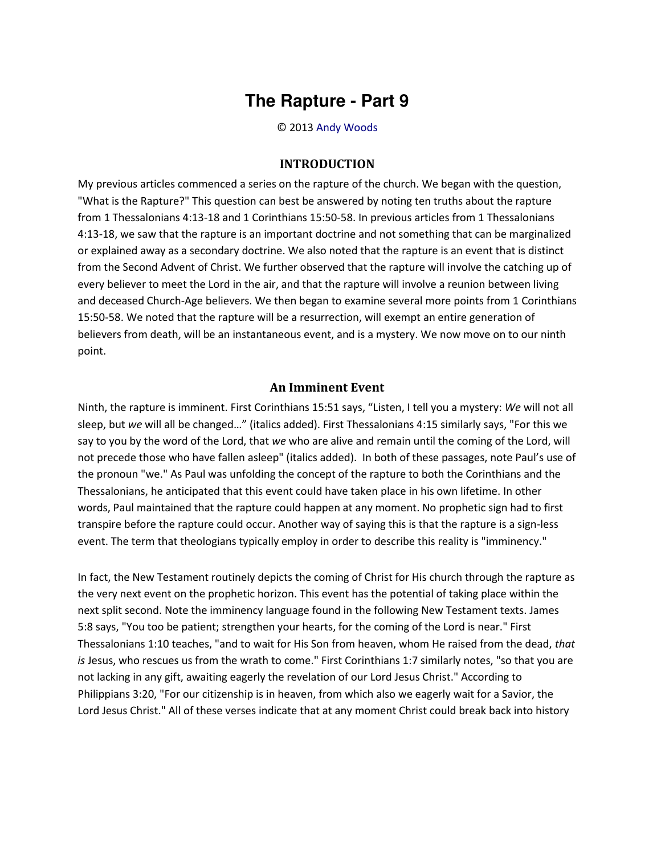## **The Rapture - Part 9**

© 2013 [Andy Woods](http://www.spiritandtruth.org/id/aw.htm)

## **INTRODUCTION**

My previous articles commenced a series on the rapture of the church. We began with the question, "What is the Rapture?" This question can best be answered by noting ten truths about the rapture from 1 Thessalonians 4:13-18 and 1 Corinthians 15:50-58. In previous articles from 1 Thessalonians 4:13-18, we saw that the rapture is an important doctrine and not something that can be marginalized or explained away as a secondary doctrine. We also noted that the rapture is an event that is distinct from the Second Advent of Christ. We further observed that the rapture will involve the catching up of every believer to meet the Lord in the air, and that the rapture will involve a reunion between living and deceased Church-Age believers. We then began to examine several more points from 1 Corinthians 15:50-58. We noted that the rapture will be a resurrection, will exempt an entire generation of believers from death, will be an instantaneous event, and is a mystery. We now move on to our ninth point.

## **An Imminent Event**

Ninth, the rapture is imminent. First Corinthians 15:51 says, "Listen, I tell you a mystery: *We* will not all sleep, but *we* will all be changed..." (italics added). First Thessalonians 4:15 similarly says, "For this we say to you by the word of the Lord, that *we* who are alive and remain until the coming of the Lord, will not precede those who have fallen asleep" (italics added). In both of these passages, note Paul's use of the pronoun "we." As Paul was unfolding the concept of the rapture to both the Corinthians and the Thessalonians, he anticipated that this event could have taken place in his own lifetime. In other words, Paul maintained that the rapture could happen at any moment. No prophetic sign had to first transpire before the rapture could occur. Another way of saying this is that the rapture is a sign-less event. The term that theologians typically employ in order to describe this reality is "imminency."

In fact, the New Testament routinely depicts the coming of Christ for His church through the rapture as the very next event on the prophetic horizon. This event has the potential of taking place within the next split second. Note the imminency language found in the following New Testament texts. James 5:8 says, "You too be patient; strengthen your hearts, for the coming of the Lord is near." First Thessalonians 1:10 teaches, "and to wait for His Son from heaven, whom He raised from the dead, *that is* Jesus, who rescues us from the wrath to come." First Corinthians 1:7 similarly notes, "so that you are not lacking in any gift, awaiting eagerly the revelation of our Lord Jesus Christ." According to Philippians 3:20, "For our citizenship is in heaven, from which also we eagerly wait for a Savior, the Lord Jesus Christ." All of these verses indicate that at any moment Christ could break back into history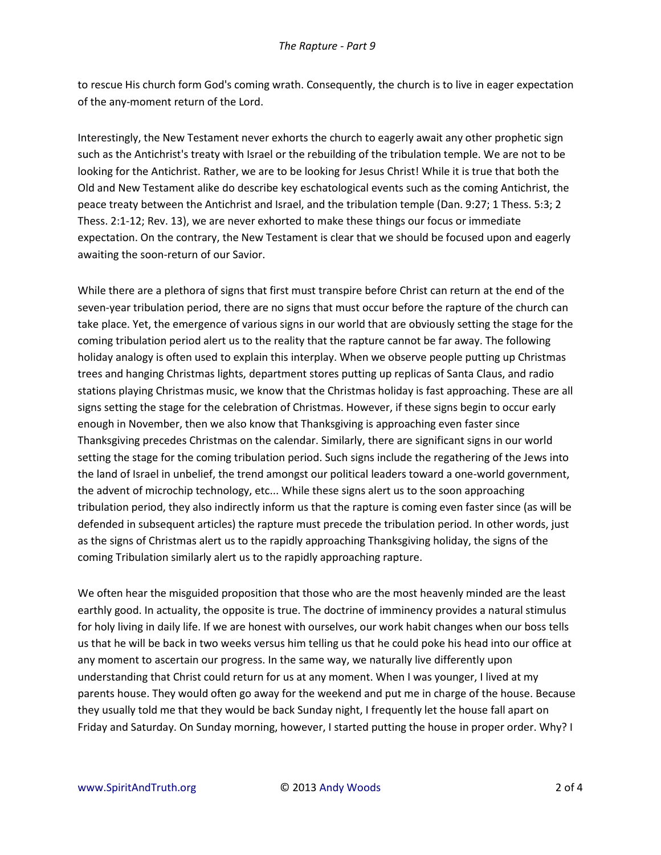to rescue His church form God's coming wrath. Consequently, the church is to live in eager expectation of the any-moment return of the Lord.

Interestingly, the New Testament never exhorts the church to eagerly await any other prophetic sign such as the Antichrist's treaty with Israel or the rebuilding of the tribulation temple. We are not to be looking for the Antichrist. Rather, we are to be looking for Jesus Christ! While it is true that both the Old and New Testament alike do describe key eschatological events such as the coming Antichrist, the peace treaty between the Antichrist and Israel, and the tribulation temple (Dan. 9:27; 1 Thess. 5:3; 2 Thess. 2:1-12; Rev. 13), we are never exhorted to make these things our focus or immediate expectation. On the contrary, the New Testament is clear that we should be focused upon and eagerly awaiting the soon-return of our Savior.

While there are a plethora of signs that first must transpire before Christ can return at the end of the seven-year tribulation period, there are no signs that must occur before the rapture of the church can take place. Yet, the emergence of various signs in our world that are obviously setting the stage for the coming tribulation period alert us to the reality that the rapture cannot be far away. The following holiday analogy is often used to explain this interplay. When we observe people putting up Christmas trees and hanging Christmas lights, department stores putting up replicas of Santa Claus, and radio stations playing Christmas music, we know that the Christmas holiday is fast approaching. These are all signs setting the stage for the celebration of Christmas. However, if these signs begin to occur early enough in November, then we also know that Thanksgiving is approaching even faster since Thanksgiving precedes Christmas on the calendar. Similarly, there are significant signs in our world setting the stage for the coming tribulation period. Such signs include the regathering of the Jews into the land of Israel in unbelief, the trend amongst our political leaders toward a one-world government, the advent of microchip technology, etc... While these signs alert us to the soon approaching tribulation period, they also indirectly inform us that the rapture is coming even faster since (as will be defended in subsequent articles) the rapture must precede the tribulation period. In other words, just as the signs of Christmas alert us to the rapidly approaching Thanksgiving holiday, the signs of the coming Tribulation similarly alert us to the rapidly approaching rapture.

We often hear the misguided proposition that those who are the most heavenly minded are the least earthly good. In actuality, the opposite is true. The doctrine of imminency provides a natural stimulus for holy living in daily life. If we are honest with ourselves, our work habit changes when our boss tells us that he will be back in two weeks versus him telling us that he could poke his head into our office at any moment to ascertain our progress. In the same way, we naturally live differently upon understanding that Christ could return for us at any moment. When I was younger, I lived at my parents house. They would often go away for the weekend and put me in charge of the house. Because they usually told me that they would be back Sunday night, I frequently let the house fall apart on Friday and Saturday. On Sunday morning, however, I started putting the house in proper order. Why? I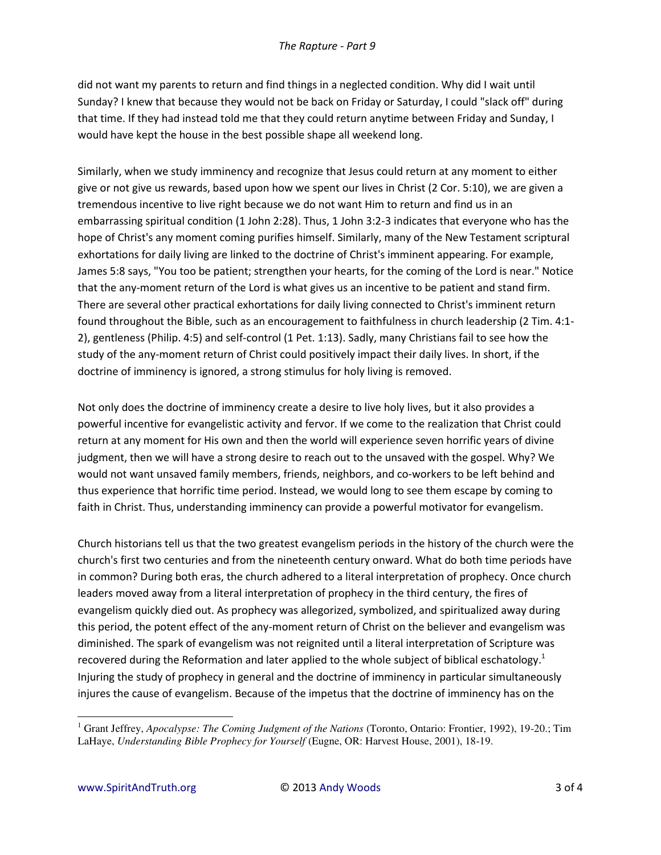did not want my parents to return and find things in a neglected condition. Why did I wait until Sunday? I knew that because they would not be back on Friday or Saturday, I could "slack off" during that time. If they had instead told me that they could return anytime between Friday and Sunday, I would have kept the house in the best possible shape all weekend long.

Similarly, when we study imminency and recognize that Jesus could return at any moment to either give or not give us rewards, based upon how we spent our lives in Christ (2 Cor. 5:10), we are given a tremendous incentive to live right because we do not want Him to return and find us in an embarrassing spiritual condition (1 John 2:28). Thus, 1 John 3:2-3 indicates that everyone who has the hope of Christ's any moment coming purifies himself. Similarly, many of the New Testament scriptural exhortations for daily living are linked to the doctrine of Christ's imminent appearing. For example, James 5:8 says, "You too be patient; strengthen your hearts, for the coming of the Lord is near." Notice that the any-moment return of the Lord is what gives us an incentive to be patient and stand firm. There are several other practical exhortations for daily living connected to Christ's imminent return found throughout the Bible, such as an encouragement to faithfulness in church leadership (2 Tim. 4:1- 2), gentleness (Philip. 4:5) and self-control (1 Pet. 1:13). Sadly, many Christians fail to see how the study of the any-moment return of Christ could positively impact their daily lives. In short, if the doctrine of imminency is ignored, a strong stimulus for holy living is removed.

Not only does the doctrine of imminency create a desire to live holy lives, but it also provides a powerful incentive for evangelistic activity and fervor. If we come to the realization that Christ could return at any moment for His own and then the world will experience seven horrific years of divine judgment, then we will have a strong desire to reach out to the unsaved with the gospel. Why? We would not want unsaved family members, friends, neighbors, and co-workers to be left behind and thus experience that horrific time period. Instead, we would long to see them escape by coming to faith in Christ. Thus, understanding imminency can provide a powerful motivator for evangelism.

Church historians tell us that the two greatest evangelism periods in the history of the church were the church's first two centuries and from the nineteenth century onward. What do both time periods have in common? During both eras, the church adhered to a literal interpretation of prophecy. Once church leaders moved away from a literal interpretation of prophecy in the third century, the fires of evangelism quickly died out. As prophecy was allegorized, symbolized, and spiritualized away during this period, the potent effect of the any-moment return of Christ on the believer and evangelism was diminished. The spark of evangelism was not reignited until a literal interpretation of Scripture was recovered during the Reformation and later applied to the whole subject of biblical eschatology.<sup>1</sup> Injuring the study of prophecy in general and the doctrine of imminency in particular simultaneously injures the cause of evangelism. Because of the impetus that the doctrine of imminency has on the

 $\overline{\phantom{0}}$ 

<sup>&</sup>lt;sup>1</sup> Grant Jeffrey, *Apocalypse: The Coming Judgment of the Nations* (Toronto, Ontario: Frontier, 1992), 19-20.; Tim LaHaye, *Understanding Bible Prophecy for Yourself* (Eugne, OR: Harvest House, 2001), 18-19.